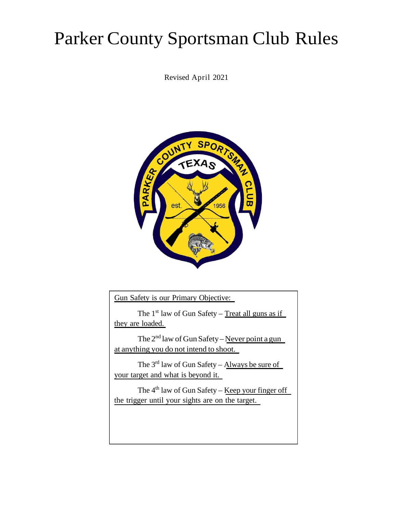# Parker County Sportsman Club Rules

Revised April 2021



Gun Safety is our Primary Objective:

The  $1<sup>st</sup>$  law of Gun Safety – Treat all guns as if they are loaded.

The  $2<sup>nd</sup>$  law of Gun Safety – Never point a gun at anything you do not intend to shoot.

The 3rd law of Gun Safety – Always be sure of your target and what is beyond it.

The  $4<sup>th</sup>$  law of Gun Safety – Keep your finger off the trigger until your sights are on the target.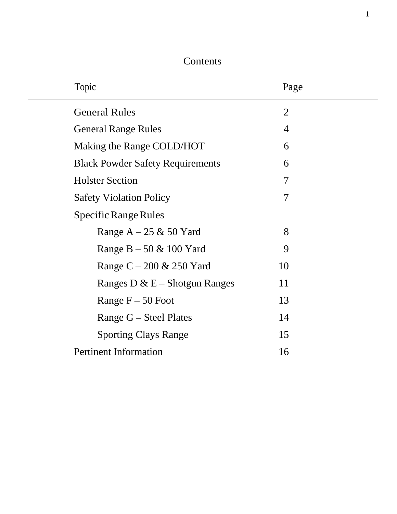#### **Contents**

| Topic                                   | Page           |  |
|-----------------------------------------|----------------|--|
| <b>General Rules</b>                    | $\overline{2}$ |  |
| <b>General Range Rules</b>              | $\overline{4}$ |  |
| Making the Range COLD/HOT               | 6              |  |
| <b>Black Powder Safety Requirements</b> | 6              |  |
| <b>Holster Section</b>                  | 7              |  |
| <b>Safety Violation Policy</b>          | 7              |  |
| Specific Range Rules                    |                |  |
| Range $A - 25 \& 50$ Yard               | 8              |  |
| Range $B - 50 \& 100$ Yard              | 9              |  |
| Range $C - 200 \& 250$ Yard             | 10             |  |
| Ranges D & $E$ – Shotgun Ranges         | 11             |  |
| Range $F - 50$ Foot                     | 13             |  |
| Range $G$ – Steel Plates                | 14             |  |
| <b>Sporting Clays Range</b>             | 15             |  |
| <b>Pertinent Information</b>            | 16             |  |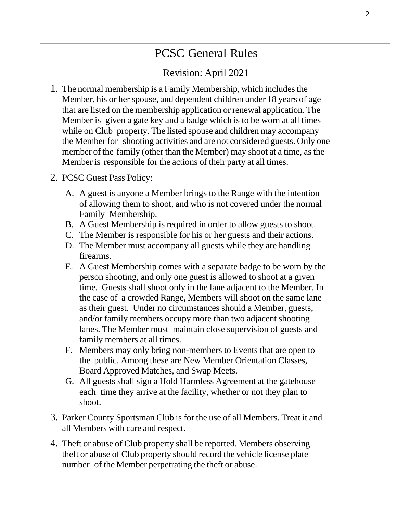# PCSC General Rules

#### Revision: April 2021

- 1. The normal membership is a Family Membership, which includesthe Member, his or her spouse, and dependent children under 18 years of age that are listed on the membership application or renewal application. The Member is given a gate key and a badge which is to be worn at all times while on Club property. The listed spouse and children may accompany the Member for shooting activities and are not considered guests. Only one member of the family (other than the Member) may shoot at a time, as the Member is responsible for the actions of their party at all times.
- 2. PCSC Guest Pass Policy:
	- A. A guest is anyone a Member brings to the Range with the intention of allowing them to shoot, and who is not covered under the normal Family Membership.
	- B. A Guest Membership is required in order to allow guests to shoot.
	- C. The Member is responsible for his or her guests and their actions.
	- D. The Member must accompany all guests while they are handling firearms.
	- E. A Guest Membership comes with a separate badge to be worn by the person shooting, and only one guest is allowed to shoot at a given time. Guests shall shoot only in the lane adjacent to the Member. In the case of a crowded Range, Members will shoot on the same lane as their guest. Under no circumstances should a Member, guests, and/or family members occupy more than two adjacent shooting lanes. The Member must maintain close supervision of guests and family members at all times.
	- F. Members may only bring non-members to Events that are open to the public. Among these are New Member Orientation Classes, Board Approved Matches, and Swap Meets.
	- G. All guests shall sign a Hold Harmless Agreement at the gatehouse each time they arrive at the facility, whether or not they plan to shoot.
- 3. Parker County Sportsman Club is for the use of all Members. Treat it and all Members with care and respect.
- 4. Theft or abuse of Club property shall be reported. Members observing theft or abuse of Club property should record the vehicle license plate number of the Member perpetrating the theft or abuse.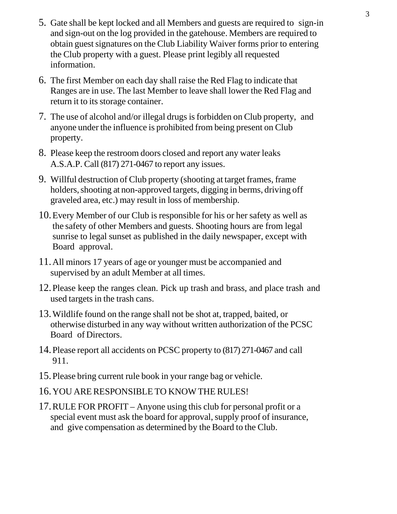- 5. Gate shall be kept locked and all Members and guests are required to sign-in and sign-out on the log provided in the gatehouse. Members are required to obtain guest signatures on the Club Liability Waiver forms prior to entering the Club property with a guest. Please print legibly all requested information.
- 6. The first Member on each day shall raise the Red Flag to indicate that Ranges are in use. The last Member to leave shall lower the Red Flag and return it to its storage container.
- 7. The use of alcohol and/or illegal drugs isforbidden on Club property, and anyone under the influence is prohibited from being present on Club property.
- 8. Please keep the restroom doors closed and report any water leaks A.S.A.P. Call (817) 271-0467 to report any issues.
- 9. Willful destruction of Club property (shooting at target frames, frame holders, shooting at non-approved targets, digging in berms, driving off graveled area, etc.) may result in loss of membership.
- 10.Every Member of our Club is responsible for his or her safety as well as the safety of other Members and guests. Shooting hours are from legal sunrise to legal sunset as published in the daily newspaper, except with Board approval.
- 11.All minors 17 years of age or younger must be accompanied and supervised by an adult Member at all times.
- 12.Please keep the ranges clean. Pick up trash and brass, and place trash and used targets in the trash cans.
- 13.Wildlife found on the range shall not be shot at, trapped, baited, or otherwise disturbed in any way without written authorization of the PCSC Board of Directors.
- 14.Please report all accidents on PCSC property to (817) 271-0467 and call 911.
- 15.Please bring current rule book in your range bag or vehicle.
- 16.YOU ARERESPONSIBLE TO KNOW THE RULES!
- 17.RULE FOR PROFIT Anyone using this club for personal profit or a special event must ask the board for approval, supply proof of insurance, and give compensation as determined by the Board to the Club.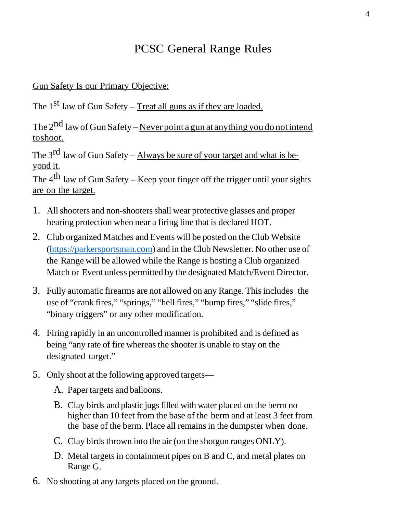#### PCSC General Range Rules

#### Gun Safety Is our Primary Objective:

The 1<sup>st</sup> law of Gun Safety – Treat all guns as if they are loaded.

The  $2^{nd}$  law of Gun Safety – Never point a gun at anything you do not intend toshoot.

The  $3^{rd}$  law of Gun Safety – Always be sure of your target and what is beyond it.

The  $4<sup>th</sup>$  law of Gun Safety – Keep your finger off the trigger until your sights are on the target.

- 1. Allshooters and non-shootersshall wear protective glasses and proper hearing protection when near a firing line that is declared HOT.
- 2. Club organized Matches and Events will be posted on the Club Website [\(https://parkersportsman.com\)](https://parkersportsman.com/) and in the Club Newsletter. No other use of the Range will be allowed while the Range is hosting a Club organized Match or Event unless permitted by the designated Match/Event Director.
- 3. Fully automatic firearms are not allowed on any Range. Thisincludes the use of "crank fires," "springs," "hell fires," "bump fires," "slide fires," "binary triggers" or any other modification.
- 4. Firing rapidly in an uncontrolled manner is prohibited and is defined as being "any rate of fire whereas the shooter is unable to stay on the designated target."
- 5. Only shoot at the following approved targets—
	- A. Papertargets and balloons.
	- B. Clay birds and plastic jugs filled with water placed on the berm no higher than 10 feet from the base of the berm and at least 3 feet from the base of the berm. Place all remains in the dumpster when done.
	- C. Clay birds thrown into the air (on the shotgun ranges ONLY).
	- D. Metal targets in containment pipes on B and C, and metal plates on Range G.
- 6. No shooting at any targets placed on the ground.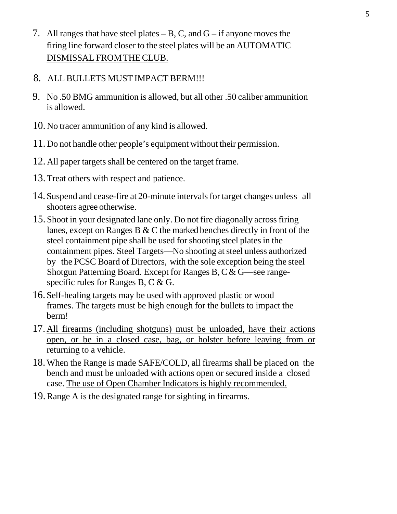- 7. All ranges that have steel plates  $B$ , C, and G  $-$  if anyone moves the firing line forward closer to the steel plates will be an AUTOMATIC DISMISSAL FROMTHECLUB.
- 8. ALL BULLETS MUST IMPACT BERM!!!
- 9. No .50 BMG ammunition is allowed, but all other .50 caliber ammunition is allowed.
- 10. No tracer ammunition of any kind is allowed.
- 11. Do not handle other people's equipment without their permission.
- 12. All paper targets shall be centered on the target frame.
- 13. Treat others with respect and patience.
- 14. Suspend and cease-fire at 20-minute intervalsfor target changes unless all shooters agree otherwise.
- 15. Shoot in your designated lane only. Do not fire diagonally acrossfiring lanes, except on Ranges B & C the marked benches directly in front of the steel containment pipe shall be used for shooting steel plates in the containment pipes. Steel Targets—No shooting atsteel unless authorized by the PCSC Board of Directors, with the sole exception being the steel Shotgun Patterning Board. Except for Ranges B, C & G—see rangespecific rules for Ranges B, C & G.
- 16. Self-healing targets may be used with approved plastic or wood frames. The targets must be high enough for the bullets to impact the berm!
- 17. All firearms (including shotguns) must be unloaded, have their actions open, or be in a closed case, bag, or holster before leaving from or returning to a vehicle.
- 18.When the Range is made SAFE/COLD, all firearms shall be placed on the bench and must be unloaded with actions open or secured inside a closed case. The use of Open Chamber Indicators is highly recommended.
- 19.Range A is the designated range for sighting in firearms.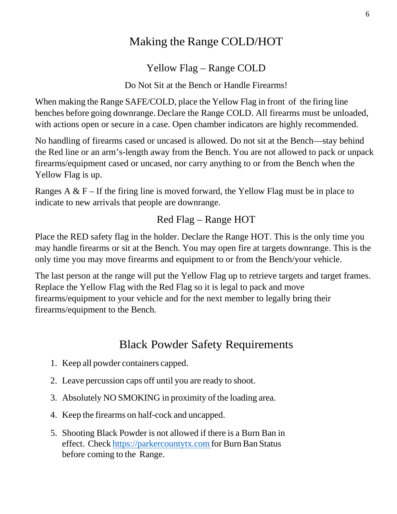#### Making the Range COLD/HOT

Yellow Flag – Range COLD

Do Not Sit at the Bench or Handle Firearms!

When making the Range SAFE/COLD, place the Yellow Flag in front of the firing line benches before going downrange. Declare the Range COLD. All firearms must be unloaded, with actions open or secure in a case. Open chamber indicators are highly recommended.

No handling of firearms cased or uncased is allowed. Do not sit at the Bench—stay behind the Red line or an arm's-length away from the Bench. You are not allowed to pack or unpack firearms/equipment cased or uncased, nor carry anything to or from the Bench when the Yellow Flag is up.

Ranges A  $\&$  F – If the firing line is moved forward, the Yellow Flag must be in place to indicate to new arrivals that people are downrange.

#### Red Flag – Range HOT

Place the RED safety flag in the holder. Declare the Range HOT. This is the only time you may handle firearms or sit at the Bench. You may open fire at targets downrange. This is the only time you may move firearms and equipment to or from the Bench/your vehicle.

The last person at the range will put the Yellow Flag up to retrieve targets and target frames. Replace the Yellow Flag with the Red Flag so it is legal to pack and move firearms/equipment to your vehicle and for the next member to legally bring their firearms/equipment to the Bench.

#### Black Powder Safety Requirements

- <span id="page-6-0"></span>1. Keep all powder containers capped.
- 2. Leave percussion caps off until you are ready to shoot.
- 3. Absolutely NO SMOKING in proximity of the loading area.
- 4. Keep the firearms on half-cock and uncapped.
- 5. Shooting Black Powder is not allowed if there is a Burn Ban in effect. Check https://parkercountytx.com for Burn Ban Status before coming to the Range.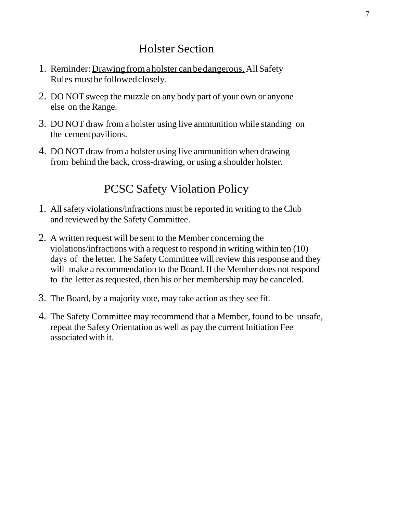#### Holster Section

- <span id="page-7-0"></span>1. Reminder: Drawing from a holster can be dangerous. All Safety Rules mustbefollowedclosely.
- 2. DO NOT sweep the muzzle on any body part of your own or anyone else on the Range.
- 3. DO NOT draw from a holster using live ammunition while standing on the cementpavilions.
- 4. DO NOT draw from a holster using live ammunition when drawing from behind the back, cross-drawing, or using a shoulder holster.

# PCSC Safety Violation Policy

- 1. Allsafety violations/infractions must be reported in writing to the Club and reviewed by the Safety Committee.
- 2. A written request will be sent to the Member concerning the violations/infractions with a request to respond in writing within ten (10) days of the letter. The Safety Committee will review this response and they will make a recommendation to the Board. If the Member does not respond to the letter as requested, then his or her membership may be canceled.
- 3. The Board, by a majority vote, may take action as they see fit.
- 4. The Safety Committee may recommend that a Member, found to be unsafe, repeat the Safety Orientation as well as pay the current Initiation Fee associated with it.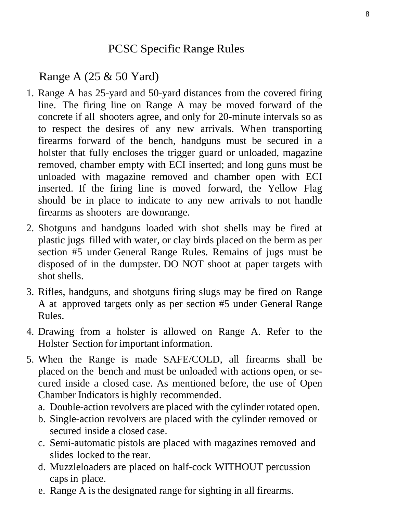# PCSC Specific Range Rules

<span id="page-8-0"></span>Range A (25 & 50 Yard)

- 1. Range A has 25-yard and 50-yard distances from the covered firing line. The firing line on Range A may be moved forward of the concrete if all shooters agree, and only for 20-minute intervals so as to respect the desires of any new arrivals. When transporting firearms forward of the bench, handguns must be secured in a holster that fully encloses the trigger guard or unloaded, magazine removed, chamber empty with ECI inserted; and long guns must be unloaded with magazine removed and chamber open with ECI inserted. If the firing line is moved forward, the Yellow Flag should be in place to indicate to any new arrivals to not handle firearms as shooters are downrange.
- 2. Shotguns and handguns loaded with shot shells may be fired at plastic jugs filled with water, or clay birds placed on the berm as per section #5 under General Range Rules. Remains of jugs must be disposed of in the dumpster. DO NOT shoot at paper targets with shot shells.
- 3. Rifles, handguns, and shotguns firing slugs may be fired on Range A at approved targets only as per section #5 under General Range Rules.
- 4. Drawing from a holster is allowed on Range A. Refer to the Holster Section for important information.
- 5. When the Range is made SAFE/COLD, all firearms shall be placed on the bench and must be unloaded with actions open, or secured inside a closed case. As mentioned before, the use of Open Chamber Indicators is highly recommended.
	- a. Double-action revolvers are placed with the cylinder rotated open.
	- b. Single-action revolvers are placed with the cylinder removed or secured inside a closed case.
	- c. Semi-automatic pistols are placed with magazines removed and slides locked to the rear.
	- d. Muzzleloaders are placed on half-cock WITHOUT percussion caps in place.
	- e. Range A is the designated range for sighting in all firearms.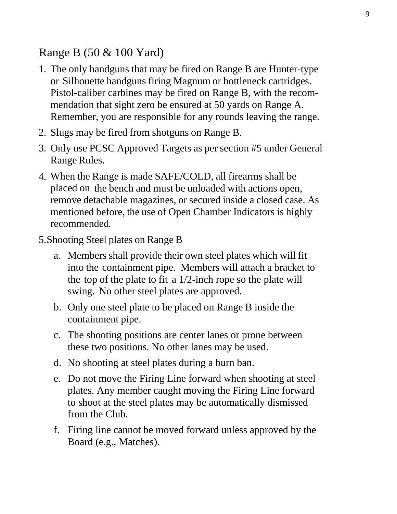#### <span id="page-9-0"></span>Range B (50 & 100 Yard)

- 1. The only handguns that may be fired on Range B are Hunter-type or Silhouette handguns firing Magnum or bottleneck cartridges. Pistol-caliber carbines may be fired on Range B, with the recommendation that sight zero be ensured at 50 yards on Range A. Remember, you are responsible for any rounds leaving the range.
- 2. Slugs may be fired from shotguns on Range B.
- 3. Only use PCSC Approved Targets as per section #5 under General Range Rules.
- 4. When the Range is made SAFE/COLD, all firearms shall be placed on the bench and must be unloaded with actions open, remove detachable magazines, or secured inside a closed case. As mentioned before, the use of Open Chamber Indicators is highly recommended.
- 5.Shooting Steel plates on Range B
	- a. Members shall provide their own steel plates which will fit into the containment pipe. Members will attach a bracket to the top of the plate to fit a 1/2-inch rope so the plate will swing. No other steel plates are approved.
	- b. Only one steel plate to be placed on Range B inside the containment pipe.
	- c. The shooting positions are center lanes or prone between these two positions. No other lanes may be used.
	- d. No shooting at steel plates during a burn ban.
	- e. Do not move the Firing Line forward when shooting at steel plates. Any member caught moving the Firing Line forward to shoot at the steel plates may be automatically dismissed from the Club.
	- f. Firing line cannot be moved forward unless approved by the Board (e.g., Matches).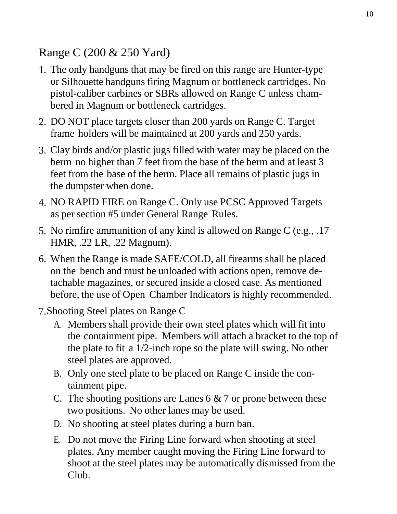# <span id="page-10-0"></span>Range C (200 & 250 Yard)

- 1. The only handguns that may be fired on this range are Hunter-type or Silhouette handguns firing Magnum or bottleneck cartridges. No pistol-caliber carbines or SBRs allowed on Range C unless chambered in Magnum or bottleneck cartridges.
- 2. DO NOT place targets closer than 200 yards on Range C. Target frame holders will be maintained at 200 yards and 250 yards.
- 3. Clay birds and/or plastic jugs filled with water may be placed on the berm no higher than 7 feet from the base of the berm and at least 3 feet from the base of the berm. Place all remains of plastic jugs in the dumpster when done.
- 4. NO RAPID FIRE on Range C. Only use PCSC Approved Targets as per section #5 under General Range Rules.
- 5. No rimfire ammunition of any kind is allowed on Range C (e.g., .17 HMR, .22 LR, .22 Magnum).
- 6. When the Range is made SAFE/COLD, all firearms shall be placed on the bench and must be unloaded with actions open, remove detachable magazines, or secured inside a closed case. As mentioned before, the use of Open Chamber Indicators is highly recommended.
- 7.Shooting Steel plates on Range C
	- A. Members shall provide their own steel plates which will fit into the containment pipe. Members will attach a bracket to the top of the plate to fit a 1/2-inch rope so the plate will swing. No other steel plates are approved.
	- B. Only one steel plate to be placed on Range C inside the containment pipe.
	- C. The shooting positions are Lanes  $6 \& 7$  or prone between these two positions. No other lanes may be used.
	- D. No shooting at steel plates during a burn ban.
	- E. Do not move the Firing Line forward when shooting at steel plates. Any member caught moving the Firing Line forward to shoot at the steel plates may be automatically dismissed from the Club.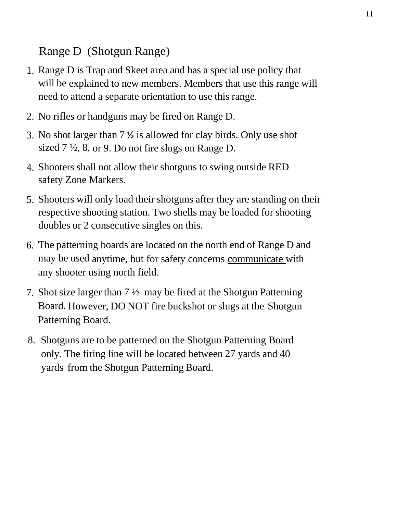# Range D (Shotgun Range)

- 1. Range D is Trap and Skeet area and has a special use policy that will be explained to new members. Members that use this range will need to attend a separate orientation to use this range.
- 2. No rifles or handguns may be fired on Range D.
- 3. No shot larger than 7 ½ is allowed for clay birds. Only use shot sized 7 ½, 8, or 9. Do not fire slugs on Range D.
- 4. Shooters shall not allow their shotguns to swing outside RED safety Zone Markers.
- 5. Shooters will only load their shotguns after they are standing on their respective shooting station. Two shells may be loaded for shooting doubles or 2 consecutive singles on this.
- 6. The patterning boards are located on the north end of Range D and may be used anytime, but for safety concerns communicate with any shooter using north field.
- 7. Shot size larger than  $7\frac{1}{2}$  may be fired at the Shotgun Patterning Board. However, DO NOT fire buckshot or slugs at the Shotgun Patterning Board.
- 8. Shotguns are to be patterned on the Shotgun Patterning Board only. The firing line will be located between 27 yards and 40 yards from the Shotgun Patterning Board.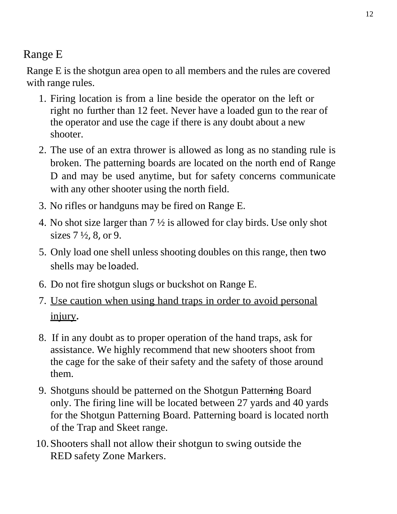# Range E

Range E is the shotgun area open to all members and the rules are covered with range rules.

- 1. Firing location is from a line beside the operator on the left or right no further than 12 feet. Never have a loaded gun to the rear of the operator and use the cage if there is any doubt about a new shooter.
- 2. The use of an extra thrower is allowed as long as no standing rule is broken. The patterning boards are located on the north end of Range D and may be used anytime, but for safety concerns communicate with any other shooter using the north field.
- 3. No rifles or handguns may be fired on Range E.
- 4. No shot size larger than 7 ½ is allowed for clay birds. Use only shot sizes 7 ½, 8, or 9.
- 5. Only load one shell unless shooting doubles on this range, then two shells may be loaded.
- 6. Do not fire shotgun slugs or buckshot on Range E.
- 7. Use caution when using hand traps in order to avoid personal injury**.**
- 8. If in any doubt as to proper operation of the hand traps, ask for assistance. We highly recommend that new shooters shoot from the cage for the sake of their safety and the safety of those around them.
- 9. Shotguns should be patterned on the Shotgun Patterning Board only. The firing line will be located between 27 yards and 40 yards for the Shotgun Patterning Board. Patterning board is located north of the Trap and Skeet range.
- 10.Shooters shall not allow their shotgun to swing outside the RED safety Zone Markers.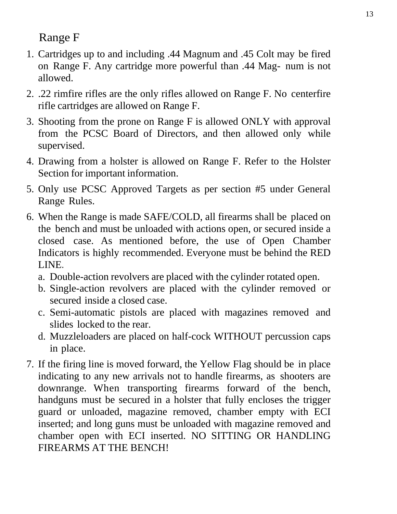# Range F

- 1. Cartridges up to and including .44 Magnum and .45 Colt may be fired on Range F. Any cartridge more powerful than .44 Mag- num is not allowed.
- 2. .22 rimfire rifles are the only rifles allowed on Range F. No centerfire rifle cartridges are allowed on Range F.
- 3. Shooting from the prone on Range F is allowed ONLY with approval from the PCSC Board of Directors, and then allowed only while supervised.
- 4. Drawing from a holster is allowed on Range F. Refer to the Holster Section for important information.
- 5. Only use PCSC Approved Targets as per section #5 under General Range Rules.
- 6. When the Range is made SAFE/COLD, all firearms shall be placed on the bench and must be unloaded with actions open, or secured inside a closed case. As mentioned before, the use of Open Chamber Indicators is highly recommended. Everyone must be behind the RED LINE.
	- a. Double-action revolvers are placed with the cylinder rotated open.
	- b. Single-action revolvers are placed with the cylinder removed or secured inside a closed case.
	- c. Semi-automatic pistols are placed with magazines removed and slides locked to the rear.
	- d. Muzzleloaders are placed on half-cock WITHOUT percussion caps in place.
- 7. If the firing line is moved forward, the Yellow Flag should be in place indicating to any new arrivals not to handle firearms, as shooters are downrange. When transporting firearms forward of the bench, handguns must be secured in a holster that fully encloses the trigger guard or unloaded, magazine removed, chamber empty with ECI inserted; and long guns must be unloaded with magazine removed and chamber open with ECI inserted. NO SITTING OR HANDLING FIREARMS AT THE BENCH!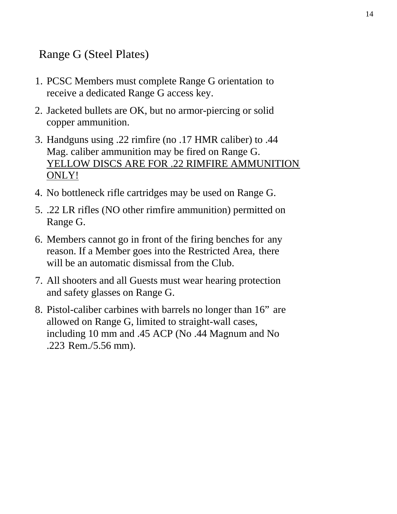### <span id="page-14-0"></span>Range G (Steel Plates)

- 1. PCSC Members must complete Range G orientation to receive a dedicated Range G access key.
- 2. Jacketed bullets are OK, but no armor-piercing or solid copper ammunition.
- 3. Handguns using .22 rimfire (no .17 HMR caliber) to .44 Mag. caliber ammunition may be fired on Range G. YELLOW DISCS ARE FOR .22 RIMFIRE AMMUNITION ONLY!
- 4. No bottleneck rifle cartridges may be used on Range G.
- 5. .22 LR rifles (NO other rimfire ammunition) permitted on Range G.
- 6. Members cannot go in front of the firing benches for any reason. If a Member goes into the Restricted Area, there will be an automatic dismissal from the Club.
- 7. All shooters and all Guests must wear hearing protection and safety glasses on Range G.
- 8. Pistol-caliber carbines with barrels no longer than 16" are allowed on Range G, limited to straight-wall cases, including 10 mm and .45 ACP (No .44 Magnum and No .223 Rem./5.56 mm).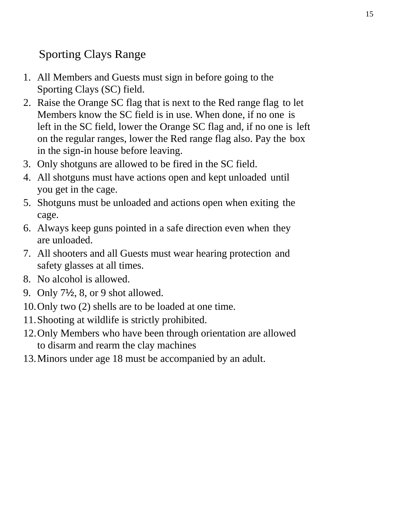# <span id="page-15-0"></span>Sporting Clays Range

- 1. All Members and Guests must sign in before going to the Sporting Clays (SC) field.
- 2. Raise the Orange SC flag that is next to the Red range flag to let Members know the SC field is in use. When done, if no one is left in the SC field, lower the Orange SC flag and, if no one is left on the regular ranges, lower the Red range flag also. Pay the box in the sign-in house before leaving.
- 3. Only shotguns are allowed to be fired in the SC field.
- 4. All shotguns must have actions open and kept unloaded until you get in the cage.
- 5. Shotguns must be unloaded and actions open when exiting the cage.
- 6. Always keep guns pointed in a safe direction even when they are unloaded.
- 7. All shooters and all Guests must wear hearing protection and safety glasses at all times.
- 8. No alcohol is allowed.
- 9. Only 7½, 8, or 9 shot allowed.
- 10.Only two (2) shells are to be loaded at one time.
- 11.Shooting at wildlife is strictly prohibited.
- 12.Only Members who have been through orientation are allowed to disarm and rearm the clay machines
- 13.Minors under age 18 must be accompanied by an adult.